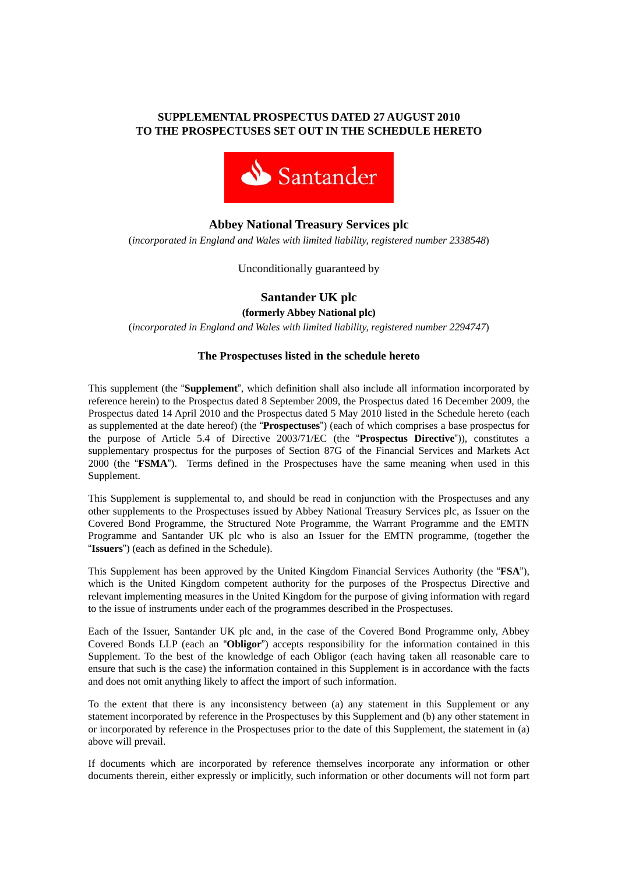# **SUPPLEMENTAL PROSPECTUS DATED 27 AUGUST 2010 TO THE PROSPECTUSES SET OUT IN THE SCHEDULE HERETO**



# **Abbey National Treasury Services plc**

(*incorporated in England and Wales with limited liability, registered number 2338548*)

Unconditionally guaranteed by

**Santander UK plc** 

**(formerly Abbey National plc)** 

(*incorporated in England and Wales with limited liability, registered number 2294747*)

#### **The Prospectuses listed in the schedule hereto**

This supplement (the "**Supplement**", which definition shall also include all information incorporated by reference herein) to the Prospectus dated 8 September 2009, the Prospectus dated 16 December 2009, the Prospectus dated 14 April 2010 and the Prospectus dated 5 May 2010 listed in the Schedule hereto (each as supplemented at the date hereof) (the "**Prospectuses**") (each of which comprises a base prospectus for the purpose of Article 5.4 of Directive 2003/71/EC (the "**Prospectus Directive**")), constitutes a supplementary prospectus for the purposes of Section 87G of the Financial Services and Markets Act 2000 (the "**FSMA**"). Terms defined in the Prospectuses have the same meaning when used in this Supplement.

This Supplement is supplemental to, and should be read in conjunction with the Prospectuses and any other supplements to the Prospectuses issued by Abbey National Treasury Services plc, as Issuer on the Covered Bond Programme, the Structured Note Programme, the Warrant Programme and the EMTN Programme and Santander UK plc who is also an Issuer for the EMTN programme, (together the "**Issuers**") (each as defined in the Schedule).

This Supplement has been approved by the United Kingdom Financial Services Authority (the "**FSA**"), which is the United Kingdom competent authority for the purposes of the Prospectus Directive and relevant implementing measures in the United Kingdom for the purpose of giving information with regard to the issue of instruments under each of the programmes described in the Prospectuses.

Each of the Issuer, Santander UK plc and, in the case of the Covered Bond Programme only, Abbey Covered Bonds LLP (each an "**Obligor**") accepts responsibility for the information contained in this Supplement. To the best of the knowledge of each Obligor (each having taken all reasonable care to ensure that such is the case) the information contained in this Supplement is in accordance with the facts and does not omit anything likely to affect the import of such information.

To the extent that there is any inconsistency between (a) any statement in this Supplement or any statement incorporated by reference in the Prospectuses by this Supplement and (b) any other statement in or incorporated by reference in the Prospectuses prior to the date of this Supplement, the statement in (a) above will prevail.

If documents which are incorporated by reference themselves incorporate any information or other documents therein, either expressly or implicitly, such information or other documents will not form part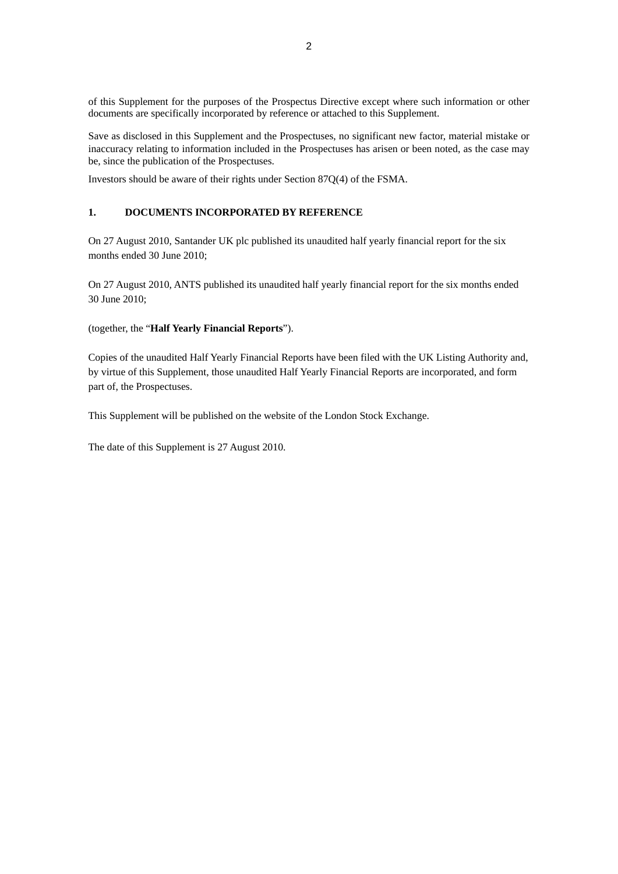of this Supplement for the purposes of the Prospectus Directive except where such information or other documents are specifically incorporated by reference or attached to this Supplement.

Save as disclosed in this Supplement and the Prospectuses, no significant new factor, material mistake or inaccuracy relating to information included in the Prospectuses has arisen or been noted, as the case may be, since the publication of the Prospectuses.

Investors should be aware of their rights under Section 87Q(4) of the FSMA.

### **1. DOCUMENTS INCORPORATED BY REFERENCE**

On 27 August 2010, Santander UK plc published its unaudited half yearly financial report for the six months ended 30 June 2010;

On 27 August 2010, ANTS published its unaudited half yearly financial report for the six months ended 30 June 2010;

#### (together, the "**Half Yearly Financial Reports**").

Copies of the unaudited Half Yearly Financial Reports have been filed with the UK Listing Authority and, by virtue of this Supplement, those unaudited Half Yearly Financial Reports are incorporated, and form part of, the Prospectuses.

This Supplement will be published on the website of the London Stock Exchange.

The date of this Supplement is 27 August 2010.